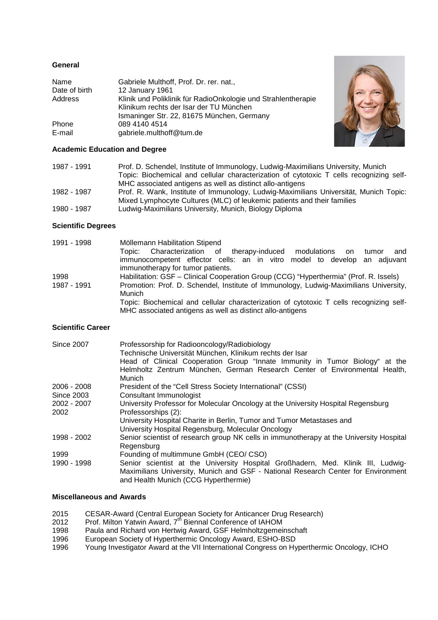# **General**

| Name          | Gabriele Multhoff, Prof. Dr. rer. nat.,                       |
|---------------|---------------------------------------------------------------|
| Date of birth | 12 January 1961                                               |
| Address       | Klinik und Poliklinik für RadioOnkologie und Strahlentherapie |
|               | Klinikum rechts der Isar der TU München                       |
|               | Ismaninger Str. 22, 81675 München, Germany                    |
| Phone         | 089 4140 4514                                                 |
| E-mail        | gabriele.multhoff@tum.de                                      |



## **Academic Education and Degree**

| 1987 - 1991 | Prof. D. Schendel, Institute of Immunology, Ludwig-Maximilians University, Munich       |
|-------------|-----------------------------------------------------------------------------------------|
|             | Topic: Biochemical and cellular characterization of cytotoxic T cells recognizing self- |
|             | MHC associated antigens as well as distinct allo-antigens                               |
| 1982 - 1987 | Prof. R. Wank, Institute of Immunology, Ludwig-Maximilians Universität, Munich Topic:   |
|             | Mixed Lymphocyte Cultures (MLC) of leukemic patients and their families                 |
| 1980 - 1987 | Ludwig-Maximilians University, Munich, Biology Diploma                                  |

### **Scientific Degrees**

| 1991 - 1998 | Möllemann Habilitation Stipend                                                          |
|-------------|-----------------------------------------------------------------------------------------|
|             | Topic: Characterization of therapy-induced modulations<br>and<br>tumor<br>on            |
|             | immunocompetent effector cells: an in vitro model to develop an adjuvant                |
|             | immunotherapy for tumor patients.                                                       |
| 1998        | Habilitation: GSF - Clinical Cooperation Group (CCG) "Hyperthermia" (Prof. R. Issels)   |
| 1987 - 1991 | Promotion: Prof. D. Schendel, Institute of Immunology, Ludwig-Maximilians University,   |
|             | Munich                                                                                  |
|             | Topic: Biochemical and cellular characterization of cytotoxic T cells recognizing self- |
|             | MHC associated antigens as well as distinct allo-antigens                               |

### **Scientific Career**

| <b>Since 2007</b> | Professorship for Radiooncology/Radiobiology<br>Technische Universität München, Klinikum rechts der Isar<br>Head of Clinical Cooperation Group "Innate Immunity in Tumor Biology" at the<br>Helmholtz Zentrum München, German Research Center of Environmental Health,<br>Munich |
|-------------------|----------------------------------------------------------------------------------------------------------------------------------------------------------------------------------------------------------------------------------------------------------------------------------|
| 2006 - 2008       | President of the "Cell Stress Society International" (CSSI)                                                                                                                                                                                                                      |
| <b>Since 2003</b> | Consultant Immunologist                                                                                                                                                                                                                                                          |
| 2002 - 2007       | University Professor for Molecular Oncology at the University Hospital Regensburg                                                                                                                                                                                                |
| 2002              | Professorships (2):                                                                                                                                                                                                                                                              |
|                   | University Hospital Charite in Berlin, Tumor and Tumor Metastases and                                                                                                                                                                                                            |
|                   | University Hospital Regensburg, Molecular Oncology                                                                                                                                                                                                                               |
| 1998 - 2002       | Senior scientist of research group NK cells in immunotherapy at the University Hospital                                                                                                                                                                                          |
|                   | Regensburg                                                                                                                                                                                                                                                                       |
| 1999              | Founding of multimmune GmbH (CEO/CSO)                                                                                                                                                                                                                                            |
| 1990 - 1998       | Senior scientist at the University Hospital Großhadern, Med. Klinik III, Ludwig-                                                                                                                                                                                                 |
|                   | Maximilians University, Munich and GSF - National Research Center for Environment                                                                                                                                                                                                |
|                   | and Health Munich (CCG Hyperthermie)                                                                                                                                                                                                                                             |

## **Miscellaneous and Awards**

- 2015 CESAR-Award (Central European Society for Anticancer Drug Research)
- 2012 Prof. Milton Yatwin Award, 7<sup>th</sup> Biennal Conference of IAHOM
- 1998 Paula and Richard von Hertwig Award, GSF Helmholtzgemeinschaft
- 1996 European Society of Hyperthermic Oncology Award, ESHO-BSD
- 1996 Young Investigator Award at the VII International Congress on Hyperthermic Oncology, ICHO